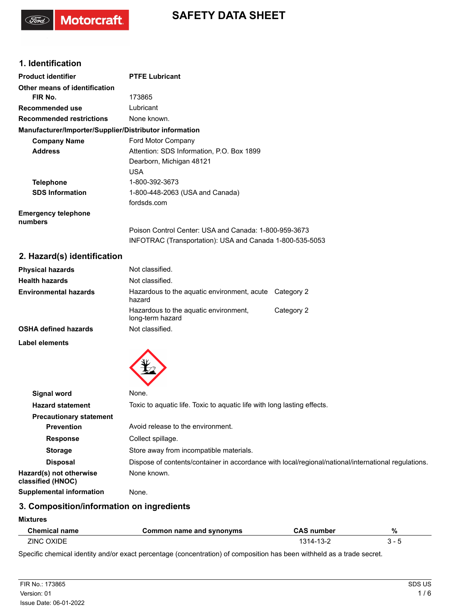### **1. Identification**

Motorcraft.

| <b>Product identifier</b>                              | <b>PTFE Lubricant</b>                                    |
|--------------------------------------------------------|----------------------------------------------------------|
| Other means of identification                          |                                                          |
| FIR No.                                                | 173865                                                   |
| Recommended use                                        | Lubricant                                                |
| <b>Recommended restrictions</b>                        | None known.                                              |
| Manufacturer/Importer/Supplier/Distributor information |                                                          |
| <b>Company Name</b>                                    | Ford Motor Company                                       |
| <b>Address</b>                                         | Attention: SDS Information, P.O. Box 1899                |
|                                                        | Dearborn, Michigan 48121                                 |
|                                                        | <b>USA</b>                                               |
| Telephone                                              | 1-800-392-3673                                           |
| <b>SDS Information</b>                                 | 1-800-448-2063 (USA and Canada)                          |
|                                                        | fordsds.com                                              |
| <b>Emergency telephone</b><br>numbers                  |                                                          |
|                                                        | Poison Control Center: USA and Canada: 1-800-959-3673    |
|                                                        | INFOTRAC (Transportation): USA and Canada 1-800-535-5053 |

# **2. Hazard(s) identification**

| Not classified.                                           |                                                        |
|-----------------------------------------------------------|--------------------------------------------------------|
| Not classified.                                           |                                                        |
| hazard                                                    |                                                        |
| Hazardous to the aquatic environment,<br>long-term hazard | Category 2                                             |
| Not classified.                                           |                                                        |
|                                                           | Hazardous to the aguatic environment, acute Category 2 |

**Label elements**



| Signal word                                  | None.                                                                                               |
|----------------------------------------------|-----------------------------------------------------------------------------------------------------|
| <b>Hazard statement</b>                      | Toxic to aquatic life. Toxic to aquatic life with long lasting effects.                             |
| <b>Precautionary statement</b>               |                                                                                                     |
| <b>Prevention</b>                            | Avoid release to the environment.                                                                   |
| <b>Response</b>                              | Collect spillage.                                                                                   |
| <b>Storage</b>                               | Store away from incompatible materials.                                                             |
| <b>Disposal</b>                              | Dispose of contents/container in accordance with local/regional/national/international regulations. |
| Hazard(s) not otherwise<br>classified (HNOC) | None known.                                                                                         |
| Supplemental information                     | None.                                                                                               |

# **3. Composition/information on ingredients**

#### **Mixtures**

| <b>Chemical name</b> | Common name and synonyms | <b>CAS number</b> | % |
|----------------------|--------------------------|-------------------|---|
| <b>ZINC OXIDE</b>    |                          | $1314 - 13 - 2$   |   |

Specific chemical identity and/or exact percentage (concentration) of composition has been withheld as a trade secret.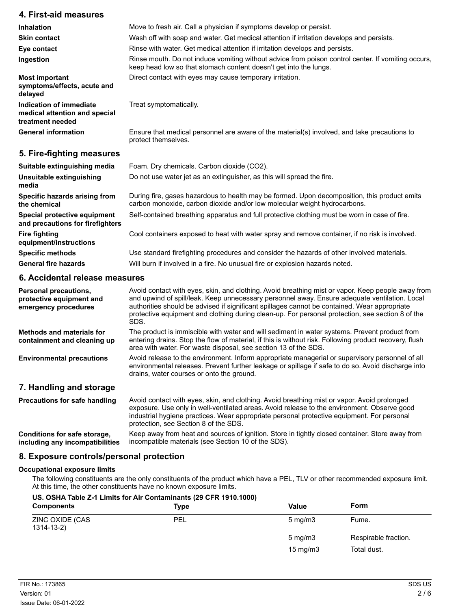| 4. First-aid measures                                                        |                                                                                                                                                                           |
|------------------------------------------------------------------------------|---------------------------------------------------------------------------------------------------------------------------------------------------------------------------|
| Inhalation                                                                   | Move to fresh air. Call a physician if symptoms develop or persist.                                                                                                       |
| <b>Skin contact</b>                                                          | Wash off with soap and water. Get medical attention if irritation develops and persists.                                                                                  |
| Eye contact                                                                  | Rinse with water. Get medical attention if irritation develops and persists.                                                                                              |
| Ingestion                                                                    | Rinse mouth. Do not induce vomiting without advice from poison control center. If vomiting occurs,<br>keep head low so that stomach content doesn't get into the lungs.   |
| <b>Most important</b><br>symptoms/effects, acute and<br>delayed              | Direct contact with eyes may cause temporary irritation.                                                                                                                  |
| Indication of immediate<br>medical attention and special<br>treatment needed | Treat symptomatically.                                                                                                                                                    |
| <b>General information</b>                                                   | Ensure that medical personnel are aware of the material(s) involved, and take precautions to<br>protect themselves.                                                       |
| 5. Fire-fighting measures                                                    |                                                                                                                                                                           |
| Suitable extinguishing media                                                 | Foam. Dry chemicals. Carbon dioxide (CO2).                                                                                                                                |
| Unsuitable extinguishing<br>media                                            | Do not use water jet as an extinguisher, as this will spread the fire.                                                                                                    |
| Specific hazards arising from<br>the chemical                                | During fire, gases hazardous to health may be formed. Upon decomposition, this product emits<br>carbon monoxide, carbon dioxide and/or low molecular weight hydrocarbons. |
| Special protective equipment<br>and precautions for firefighters             | Self-contained breathing apparatus and full protective clothing must be worn in case of fire.                                                                             |
| <b>Fire fighting</b><br>equipment/instructions                               | Cool containers exposed to heat with water spray and remove container, if no risk is involved.                                                                            |
| <b>Specific methods</b>                                                      | Use standard firefighting procedures and consider the hazards of other involved materials.                                                                                |

General fire hazards **Will burn if involved in a fire. No unusual fire or explosion hazards noted.** 

#### **6. Accidental release measures**

| Personal precautions,<br>protective equipment and<br>emergency procedures | Avoid contact with eyes, skin, and clothing. Avoid breathing mist or vapor. Keep people away from<br>and upwind of spill/leak. Keep unnecessary personnel away. Ensure adequate ventilation. Local<br>authorities should be advised if significant spillages cannot be contained. Wear appropriate<br>protective equipment and clothing during clean-up. For personal protection, see section 8 of the<br>SDS. |
|---------------------------------------------------------------------------|----------------------------------------------------------------------------------------------------------------------------------------------------------------------------------------------------------------------------------------------------------------------------------------------------------------------------------------------------------------------------------------------------------------|
| <b>Methods and materials for</b><br>containment and cleaning up           | The product is immiscible with water and will sediment in water systems. Prevent product from<br>entering drains. Stop the flow of material, if this is without risk. Following product recovery, flush<br>area with water. For waste disposal, see section 13 of the SDS.                                                                                                                                     |
| <b>Environmental precautions</b>                                          | Avoid release to the environment. Inform appropriate managerial or supervisory personnel of all<br>environmental releases. Prevent further leakage or spillage if safe to do so. Avoid discharge into<br>drains, water courses or onto the ground.                                                                                                                                                             |
| 7. Handling and storage                                                   |                                                                                                                                                                                                                                                                                                                                                                                                                |
| <b>Precautions for safe handling</b>                                      | Avoid contact with eyes, skin, and clothing. Avoid breathing mist or vapor. Avoid prolonged<br>exposure. Use only in well-ventilated areas. Avoid release to the environment. Observe good<br>industrial hygiene practices. Wear appropriate personal protective equipment. For personal<br>protection, see Section 8 of the SDS.                                                                              |

Keep away from heat and sources of ignition. Store in tightly closed container. Store away from incompatible materials (see Section 10 of the SDS). **Conditions for safe storage, including any incompatibilities**

#### **8. Exposure controls/personal protection**

#### **Occupational exposure limits**

The following constituents are the only constituents of the product which have a PEL, TLV or other recommended exposure limit. At this time, the other constituents have no known exposure limits.

#### **US. OSHA Table Z-1 Limits for Air Contaminants (29 CFR 1910.1000)**

| <b>Components</b>             | Type       | <b>Value</b>      | <b>Form</b>          |
|-------------------------------|------------|-------------------|----------------------|
| ZINC OXIDE (CAS<br>1314-13-2) | <b>PEL</b> | $5 \text{ mg/m}$  | Fume.                |
|                               |            | $5 \text{ mg/m}$  | Respirable fraction. |
|                               |            | $15 \text{ mg/m}$ | Total dust.          |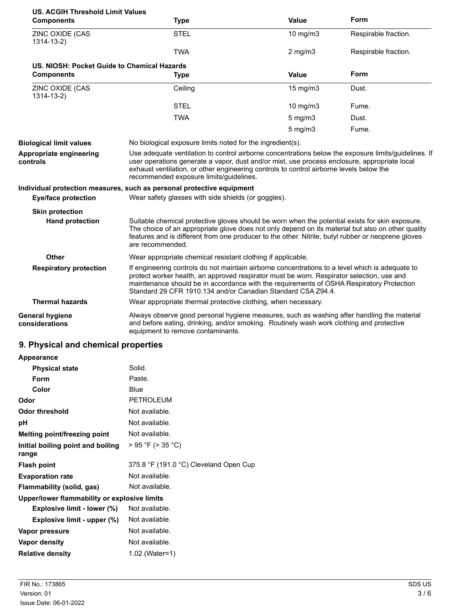| <b>US. ACGIH Threshold Limit Values</b>     |                                                                                                                                                                                                                                                                                                                                                          |                  |                      |
|---------------------------------------------|----------------------------------------------------------------------------------------------------------------------------------------------------------------------------------------------------------------------------------------------------------------------------------------------------------------------------------------------------------|------------------|----------------------|
| <b>Components</b>                           | <b>Type</b>                                                                                                                                                                                                                                                                                                                                              | <b>Value</b>     | Form                 |
| ZINC OXIDE (CAS<br>$1314 - 13 - 2$          | <b>STEL</b>                                                                                                                                                                                                                                                                                                                                              | 10 mg/m3         | Respirable fraction. |
|                                             | <b>TWA</b>                                                                                                                                                                                                                                                                                                                                               | $2$ mg/m $3$     | Respirable fraction. |
| US. NIOSH: Pocket Guide to Chemical Hazards |                                                                                                                                                                                                                                                                                                                                                          |                  |                      |
| <b>Components</b>                           | <b>Type</b>                                                                                                                                                                                                                                                                                                                                              | <b>Value</b>     | Form                 |
| ZINC OXIDE (CAS<br>$1314 - 13 - 2)$         | Ceiling                                                                                                                                                                                                                                                                                                                                                  | 15 mg/m3         | Dust.                |
|                                             | <b>STEL</b>                                                                                                                                                                                                                                                                                                                                              | 10 mg/m3         | Fume.                |
|                                             | <b>TWA</b>                                                                                                                                                                                                                                                                                                                                               | $5$ mg/m $3$     | Dust.                |
|                                             |                                                                                                                                                                                                                                                                                                                                                          | $5 \text{ mg/m}$ | Fume.                |
| <b>Biological limit values</b>              | No biological exposure limits noted for the ingredient(s).                                                                                                                                                                                                                                                                                               |                  |                      |
| Appropriate engineering<br>controls         | Use adequate ventilation to control airborne concentrations below the exposure limits/guidelines. If<br>user operations generate a vapor, dust and/or mist, use process enclosure, appropriate local<br>exhaust ventilation, or other engineering controls to control airborne levels below the<br>recommended exposure limits/guidelines.               |                  |                      |
|                                             | Individual protection measures, such as personal protective equipment                                                                                                                                                                                                                                                                                    |                  |                      |
| Eye/face protection                         | Wear safety glasses with side shields (or goggles).                                                                                                                                                                                                                                                                                                      |                  |                      |
| <b>Skin protection</b>                      |                                                                                                                                                                                                                                                                                                                                                          |                  |                      |
| <b>Hand protection</b>                      | Suitable chemical protective gloves should be worn when the potential exists for skin exposure.<br>The choice of an appropriate glove does not only depend on its material but also on other quality<br>features and is different from one producer to the other. Nitrile, butyl rubber or neoprene gloves<br>are recommended.                           |                  |                      |
| <b>Other</b>                                | Wear appropriate chemical resistant clothing if applicable.                                                                                                                                                                                                                                                                                              |                  |                      |
| <b>Respiratory protection</b>               | If engineering controls do not maintain airborne concentrations to a level which is adequate to<br>protect worker health, an approved respirator must be worn. Respirator selection, use and<br>maintenance should be in accordance with the requirements of OSHA Respiratory Protection<br>Standard 29 CFR 1910.134 and/or Canadian Standard CSA Z94.4. |                  |                      |
| <b>Thermal hazards</b>                      | Wear appropriate thermal protective clothing, when necessary.                                                                                                                                                                                                                                                                                            |                  |                      |
| General hygiene<br>considerations           | Always observe good personal hygiene measures, such as washing after handling the material<br>and before eating, drinking, and/or smoking. Routinely wash work clothing and protective<br>equipment to remove contaminants.                                                                                                                              |                  |                      |

### **9. Physical and chemical properties**

| 9. Physical and chemical properties          |                                        |
|----------------------------------------------|----------------------------------------|
| <b>Appearance</b>                            |                                        |
| <b>Physical state</b>                        | Solid.                                 |
| Form                                         | Paste.                                 |
| Color                                        | Blue                                   |
| Odor                                         | <b>PETROLEUM</b>                       |
| <b>Odor threshold</b>                        | Not available.                         |
| рH                                           | Not available.                         |
| <b>Melting point/freezing point</b>          | Not available.                         |
| Initial boiling point and boiling<br>range   | > 95 °F (> 35 °C)                      |
| <b>Flash point</b>                           | 375.8 °F (191.0 °C) Cleveland Open Cup |
| <b>Evaporation rate</b>                      | Not available.                         |
| Flammability (solid, gas)                    | Not available.                         |
| Upper/lower flammability or explosive limits |                                        |
| Explosive limit - lower (%)                  | Not available.                         |
| Explosive limit - upper (%)                  | Not available.                         |
| Vapor pressure                               | Not available.                         |
| Vapor density                                | Not available.                         |
| <b>Relative density</b>                      | 1.02 (Water=1)                         |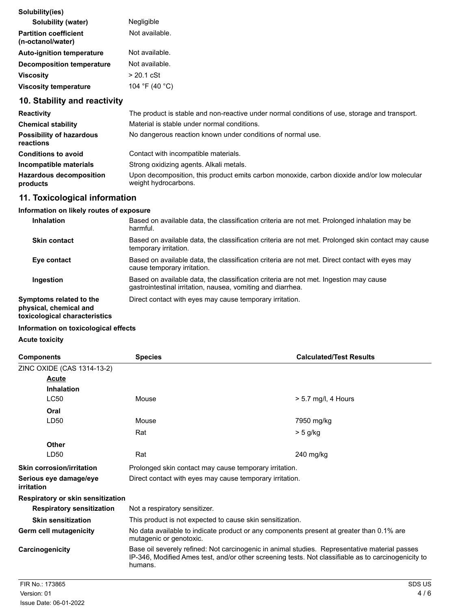| Solubility(ies)                                   |                |
|---------------------------------------------------|----------------|
| Solubility (water)                                | Negligible     |
| <b>Partition coefficient</b><br>(n-octanol/water) | Not available. |
| <b>Auto-ignition temperature</b>                  | Not available. |
| <b>Decomposition temperature</b>                  | Not available. |
| <b>Viscosity</b>                                  | $> 20.1$ cSt   |
| <b>Viscosity temperature</b>                      | 104 °F (40 °C) |

# **10. Stability and reactivity**

| <b>Reactivity</b>                            | The product is stable and non-reactive under normal conditions of use, storage and transport.                       |
|----------------------------------------------|---------------------------------------------------------------------------------------------------------------------|
| <b>Chemical stability</b>                    | Material is stable under normal conditions.                                                                         |
| <b>Possibility of hazardous</b><br>reactions | No dangerous reaction known under conditions of normal use.                                                         |
| <b>Conditions to avoid</b>                   | Contact with incompatible materials.                                                                                |
| Incompatible materials                       | Strong oxidizing agents. Alkali metals.                                                                             |
| <b>Hazardous decomposition</b><br>products   | Upon decomposition, this product emits carbon monoxide, carbon dioxide and/or low molecular<br>weight hydrocarbons. |

### **11. Toxicological information**

### **Information on likely routes of exposure**

| <b>Inhalation</b>                                                                  | Based on available data, the classification criteria are not met. Prolonged inhalation may be<br>harmful.                                            |
|------------------------------------------------------------------------------------|------------------------------------------------------------------------------------------------------------------------------------------------------|
| <b>Skin contact</b>                                                                | Based on available data, the classification criteria are not met. Prolonged skin contact may cause<br>temporary irritation.                          |
| Eye contact                                                                        | Based on available data, the classification criteria are not met. Direct contact with eyes may<br>cause temporary irritation.                        |
| Ingestion                                                                          | Based on available data, the classification criteria are not met. Ingestion may cause<br>gastrointestinal irritation, nausea, vomiting and diarrhea. |
| Symptoms related to the<br>physical, chemical and<br>toxicological characteristics | Direct contact with eyes may cause temporary irritation.                                                                                             |

### **Information on toxicological effects**

#### **Acute toxicity**

| <b>Components</b>                                | <b>Species</b>                                                                                                                                                                                                  | <b>Calculated/Test Results</b> |
|--------------------------------------------------|-----------------------------------------------------------------------------------------------------------------------------------------------------------------------------------------------------------------|--------------------------------|
| ZINC OXIDE (CAS 1314-13-2)                       |                                                                                                                                                                                                                 |                                |
| <b>Acute</b><br><b>Inhalation</b><br><b>LC50</b> | Mouse                                                                                                                                                                                                           | $> 5.7$ mg/l, 4 Hours          |
|                                                  |                                                                                                                                                                                                                 |                                |
| Oral<br>LD50                                     | Mouse<br>Rat                                                                                                                                                                                                    | 7950 mg/kg                     |
| <b>Other</b>                                     |                                                                                                                                                                                                                 | > 5 g/kg                       |
| LD50                                             | Rat                                                                                                                                                                                                             | $240$ mg/kg                    |
| <b>Skin corrosion/irritation</b>                 | Prolonged skin contact may cause temporary irritation.                                                                                                                                                          |                                |
| Serious eye damage/eye<br>irritation             | Direct contact with eyes may cause temporary irritation.                                                                                                                                                        |                                |
| Respiratory or skin sensitization                |                                                                                                                                                                                                                 |                                |
| <b>Respiratory sensitization</b>                 | Not a respiratory sensitizer.                                                                                                                                                                                   |                                |
| <b>Skin sensitization</b>                        | This product is not expected to cause skin sensitization.                                                                                                                                                       |                                |
| Germ cell mutagenicity                           | No data available to indicate product or any components present at greater than 0.1% are<br>mutagenic or genotoxic.                                                                                             |                                |
| Carcinogenicity                                  | Base oil severely refined: Not carcinogenic in animal studies. Representative material passes<br>IP-346, Modified Ames test, and/or other screening tests. Not classifiable as to carcinogenicity to<br>humans. |                                |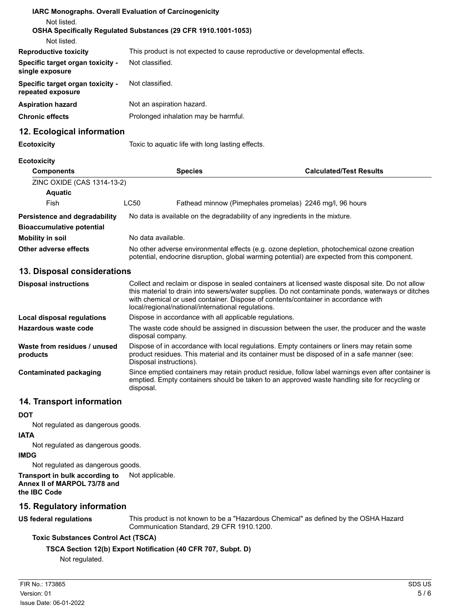| Not listed.                                           | <b>IARC Monographs. Overall Evaluation of Carcinogenicity</b>                |
|-------------------------------------------------------|------------------------------------------------------------------------------|
|                                                       | <b>OSHA Specifically Requiated Substances (29 CFR 1910.1001-1053)</b>        |
| Not listed.                                           |                                                                              |
| <b>Reproductive toxicity</b>                          | This product is not expected to cause reproductive or developmental effects. |
| Specific target organ toxicity -<br>single exposure   | Not classified.                                                              |
| Specific target organ toxicity -<br>repeated exposure | Not classified.                                                              |
| <b>Aspiration hazard</b>                              | Not an aspiration hazard.                                                    |
| <b>Chronic effects</b>                                | Prolonged inhalation may be harmful.                                         |
| 12. Ecological information                            |                                                                              |
| <b>Ecotoxicity</b>                                    | Toxic to aquatic life with long lasting effects.                             |
| <b>Ecotoxicity</b>                                    |                                                                              |

| <b>Components</b>                | <b>Species</b>     |  | <b>Calculated/Test Results</b>                                                                                                                                                             |  |
|----------------------------------|--------------------|--|--------------------------------------------------------------------------------------------------------------------------------------------------------------------------------------------|--|
| ZINC OXIDE (CAS 1314-13-2)       |                    |  |                                                                                                                                                                                            |  |
| <b>Aquatic</b>                   |                    |  |                                                                                                                                                                                            |  |
| Fish                             | LC50               |  | Fathead minnow (Pimephales promelas) 2246 mg/l, 96 hours                                                                                                                                   |  |
| Persistence and degradability    |                    |  | No data is available on the degradability of any ingredients in the mixture.                                                                                                               |  |
| <b>Bioaccumulative potential</b> |                    |  |                                                                                                                                                                                            |  |
| Mobility in soil                 | No data available. |  |                                                                                                                                                                                            |  |
| Other adverse effects            |                    |  | No other adverse environmental effects (e.g. ozone depletion, photochemical ozone creation<br>potential, endocrine disruption, global warming potential) are expected from this component. |  |

### **13. Disposal considerations**

| <b>Disposal instructions</b>             | Collect and reclaim or dispose in sealed containers at licensed waste disposal site. Do not allow<br>this material to drain into sewers/water supplies. Do not contaminate ponds, waterways or ditches<br>with chemical or used container. Dispose of contents/container in accordance with<br>local/regional/national/international regulations. |
|------------------------------------------|---------------------------------------------------------------------------------------------------------------------------------------------------------------------------------------------------------------------------------------------------------------------------------------------------------------------------------------------------|
| Local disposal regulations               | Dispose in accordance with all applicable regulations.                                                                                                                                                                                                                                                                                            |
| Hazardous waste code                     | The waste code should be assigned in discussion between the user, the producer and the waste<br>disposal company.                                                                                                                                                                                                                                 |
| Waste from residues / unused<br>products | Dispose of in accordance with local regulations. Empty containers or liners may retain some<br>product residues. This material and its container must be disposed of in a safe manner (see:<br>Disposal instructions).                                                                                                                            |
| Contaminated packaging                   | Since emptied containers may retain product residue, follow label warnings even after container is<br>emptied. Empty containers should be taken to an approved waste handling site for recycling or<br>disposal.                                                                                                                                  |

# **14. Transport information**

**DOT**

Not regulated as dangerous goods.

#### **IATA**

Not regulated as dangerous goods.

#### **IMDG**

Not regulated as dangerous goods.

**Transport in bulk according to** Not applicable. **Annex II of MARPOL 73/78 and the IBC Code**

# **15. Regulatory information**

### **US federal regulations**

This product is not known to be a "Hazardous Chemical" as defined by the OSHA Hazard Communication Standard, 29 CFR 1910.1200.

# **Toxic Substances Control Act (TSCA)**

**TSCA Section 12(b) Export Notification (40 CFR 707, Subpt. D)**

Not regulated.